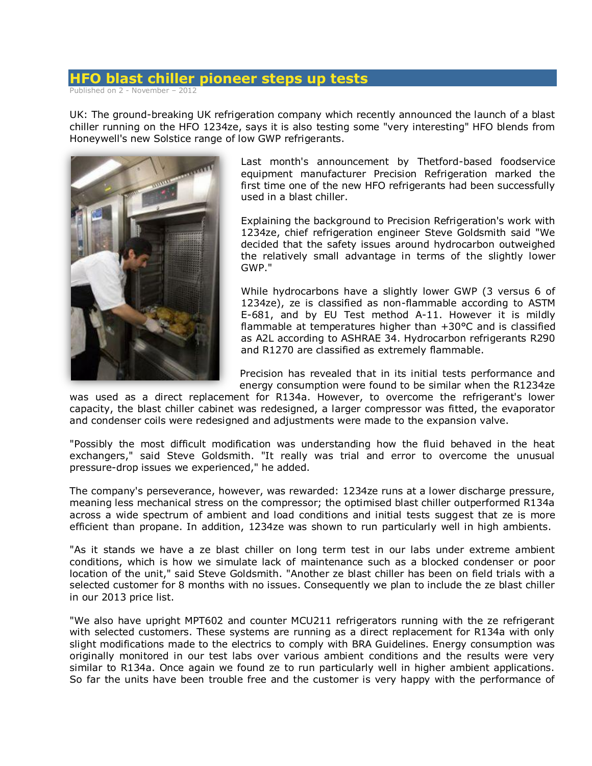## **HFO blast chiller pioneer steps up tests**

Published on 2 - November – 2012

UK: The ground-breaking UK refrigeration company which recently announced the launch of a blast chiller running on the HFO 1234ze, says it is also testing some "very interesting" HFO blends from Honeywell's new Solstice range of low GWP refrigerants.



Last month's announcement by Thetford-based foodservice equipment manufacturer Precision Refrigeration marked the first time one of the new HFO refrigerants had been successfully used in a blast chiller.

Explaining the background to Precision Refrigeration's work with 1234ze, chief refrigeration engineer Steve Goldsmith said "We decided that the safety issues around hydrocarbon outweighed the relatively small advantage in terms of the slightly lower GWP."

While hydrocarbons have a slightly lower GWP (3 versus 6 of 1234ze), ze is classified as non-flammable according to ASTM E-681, and by EU Test method A-11. However it is mildly flammable at temperatures higher than +30°C and is classified as A2L according to ASHRAE 34. Hydrocarbon refrigerants R290 and R1270 are classified as extremely flammable.

Precision has revealed that in its initial tests performance and energy consumption were found to be similar when the R1234ze

was used as a direct replacement for R134a. However, to overcome the refrigerant's lower capacity, the blast chiller cabinet was redesigned, a larger compressor was fitted, the evaporator and condenser coils were redesigned and adjustments were made to the expansion valve.

"Possibly the most difficult modification was understanding how the fluid behaved in the heat exchangers," said Steve Goldsmith. "It really was trial and error to overcome the unusual pressure-drop issues we experienced," he added.

The company's perseverance, however, was rewarded: 1234ze runs at a lower discharge pressure, meaning less mechanical stress on the compressor; the optimised blast chiller outperformed R134a across a wide spectrum of ambient and load conditions and initial tests suggest that ze is more efficient than propane. In addition, 1234ze was shown to run particularly well in high ambients.

"As it stands we have a ze blast chiller on long term test in our labs under extreme ambient conditions, which is how we simulate lack of maintenance such as a blocked condenser or poor location of the unit," said Steve Goldsmith. "Another ze blast chiller has been on field trials with a selected customer for 8 months with no issues. Consequently we plan to include the ze blast chiller in our 2013 price list.

"We also have upright MPT602 and counter MCU211 refrigerators running with the ze refrigerant with selected customers. These systems are running as a direct replacement for R134a with only slight modifications made to the electrics to comply with BRA Guidelines. Energy consumption was originally monitored in our test labs over various ambient conditions and the results were very similar to R134a. Once again we found ze to run particularly well in higher ambient applications. So far the units have been trouble free and the customer is very happy with the performance of